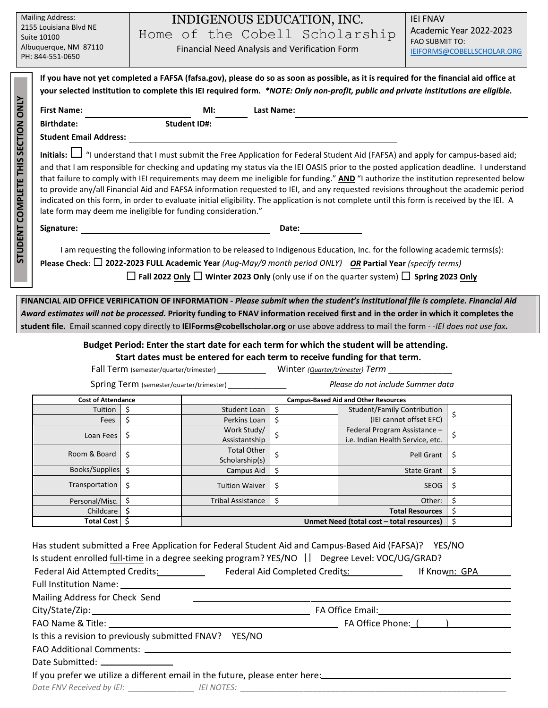| <b>Mailing Address:</b><br>2155 Louisiana Blvd NE<br>Suite 10100<br>Albuquerque, NM 87110<br>PH: 844-551-0650 |                                                                                                                                                                                                                                                                                                                                                                                                                                                                                                                                                                                                                                                                                                                                                                                | INDIGENOUS EDUCATION, INC.<br>Home of the Cobell Scholarship<br>Financial Need Analysis and Verification Form                                                                                                                                                                                                                                                                                                       | <b>IEI FNAV</b><br>Academic Year 2022-2023<br><b>FAO SUBMIT TO:</b><br>IEIFORMS@COBELLSCHOLAR.ORG |  |  |  |  |
|---------------------------------------------------------------------------------------------------------------|--------------------------------------------------------------------------------------------------------------------------------------------------------------------------------------------------------------------------------------------------------------------------------------------------------------------------------------------------------------------------------------------------------------------------------------------------------------------------------------------------------------------------------------------------------------------------------------------------------------------------------------------------------------------------------------------------------------------------------------------------------------------------------|---------------------------------------------------------------------------------------------------------------------------------------------------------------------------------------------------------------------------------------------------------------------------------------------------------------------------------------------------------------------------------------------------------------------|---------------------------------------------------------------------------------------------------|--|--|--|--|
|                                                                                                               | If you have not yet completed a FAFSA (fafsa.gov), please do so as soon as possible, as it is required for the financial aid office at<br>your selected institution to complete this IEI required form. *NOTE: Only non-profit, public and private institutions are eligible.                                                                                                                                                                                                                                                                                                                                                                                                                                                                                                  |                                                                                                                                                                                                                                                                                                                                                                                                                     |                                                                                                   |  |  |  |  |
|                                                                                                               | <b>First Name:</b>                                                                                                                                                                                                                                                                                                                                                                                                                                                                                                                                                                                                                                                                                                                                                             | MI:<br><b>Last Name:</b>                                                                                                                                                                                                                                                                                                                                                                                            |                                                                                                   |  |  |  |  |
|                                                                                                               | <b>Birthdate:</b>                                                                                                                                                                                                                                                                                                                                                                                                                                                                                                                                                                                                                                                                                                                                                              | <b>Student ID#:</b>                                                                                                                                                                                                                                                                                                                                                                                                 |                                                                                                   |  |  |  |  |
| <b>SECTION ONLY</b><br><b>STUDENT COMPLETE THIS</b>                                                           | <b>Student Email Address:</b>                                                                                                                                                                                                                                                                                                                                                                                                                                                                                                                                                                                                                                                                                                                                                  |                                                                                                                                                                                                                                                                                                                                                                                                                     |                                                                                                   |  |  |  |  |
|                                                                                                               | Initials: $\Box$ "I understand that I must submit the Free Application for Federal Student Aid (FAFSA) and apply for campus-based aid;<br>and that I am responsible for checking and updating my status via the IEI OASIS prior to the posted application deadline. I understand<br>that failure to comply with IEI requirements may deem me ineligible for funding." AND "I authorize the institution represented below<br>to provide any/all Financial Aid and FAFSA information requested to IEI, and any requested revisions throughout the academic period<br>indicated on this form, in order to evaluate initial eligibility. The application is not complete until this form is received by the IEI. A<br>late form may deem me ineligible for funding consideration." |                                                                                                                                                                                                                                                                                                                                                                                                                     |                                                                                                   |  |  |  |  |
|                                                                                                               | Signature:                                                                                                                                                                                                                                                                                                                                                                                                                                                                                                                                                                                                                                                                                                                                                                     | Date:                                                                                                                                                                                                                                                                                                                                                                                                               |                                                                                                   |  |  |  |  |
|                                                                                                               | I am requesting the following information to be released to Indigenous Education, Inc. for the following academic terms(s):<br>Please Check: $\square$ 2022-2023 FULL Academic Year (Aug-May/9 month period ONLY) OR Partial Year (specify terms)<br>$\Box$ Fall 2022 Only $\Box$ Winter 2023 Only (only use if on the quarter system) $\Box$ Spring 2023 Only                                                                                                                                                                                                                                                                                                                                                                                                                 |                                                                                                                                                                                                                                                                                                                                                                                                                     |                                                                                                   |  |  |  |  |
|                                                                                                               |                                                                                                                                                                                                                                                                                                                                                                                                                                                                                                                                                                                                                                                                                                                                                                                | FINANCIAL AID OFFICE VERIFICATION OF INFORMATION - Please submit when the student's institutional file is complete. Financial Aid<br>Award estimates will not be processed. Priority funding to FNAV information received first and in the order in which it completes the<br>student file. Email scanned copy directly to IEIForms@cobellscholar.org or use above address to mail the form --IEI does not use fax. |                                                                                                   |  |  |  |  |

# **Budget Period: Enter the start date for each term for which the student will be attending. Start dates must be entered for each term to receive funding for that term.**

Fall Term (semester/quarter/trimester) \_\_\_\_\_\_\_\_\_\_\_\_\_\_ Winter *(Quarter/trimester)* Term \_\_

Spring Term (semester/quarter/trimester) \_\_\_\_\_\_\_\_\_\_\_\_\_\_

*Please do not include Summer data*

| <b>Cost of Attendance</b> |                             | <b>Campus-Based Aid and Other Resources</b> |               |                                                                  |    |  |  |
|---------------------------|-----------------------------|---------------------------------------------|---------------|------------------------------------------------------------------|----|--|--|
| Tuition                   | S                           | Student Loan                                | Ś             | Student/Family Contribution                                      | \$ |  |  |
| Fees                      | S                           | Perkins Loan                                | \$            | (IEI cannot offset EFC)                                          |    |  |  |
| Loan Fees                 | \$                          | Work Study/<br>Assistantship                |               | Federal Program Assistance -<br>i.e. Indian Health Service, etc. | Ş  |  |  |
| Room & Board              | \$                          | <b>Total Other</b><br>Scholarship(s)        | $\Rightarrow$ | Pell Grant                                                       | \$ |  |  |
| <b>Books/Supplies</b>     | Ś.                          | Campus Aid                                  | \$            | <b>State Grant</b>                                               | \$ |  |  |
| Transportation            | \$                          | <b>Tuition Waiver</b>                       | \$            | <b>SEOG</b>                                                      | \$ |  |  |
| Personal/Misc.            |                             | <b>Tribal Assistance</b>                    | \$            | Other:                                                           | Ś  |  |  |
| Childcare                 | S<br><b>Total Resources</b> |                                             |               | S                                                                |    |  |  |
| <b>Total Cost</b>         | S                           | Unmet Need (total cost - total resources)   |               |                                                                  | \$ |  |  |

| Has student submitted a Free Application for Federal Student Aid and Campus-Based Aid (FAFSA)? YES/NO          |                                                                                                           |  |  |
|----------------------------------------------------------------------------------------------------------------|-----------------------------------------------------------------------------------------------------------|--|--|
| Is student enrolled full-time in a degree seeking program? YES/NO    Degree Level: VOC/UG/GRAD?                |                                                                                                           |  |  |
|                                                                                                                | Federal Aid Attempted Credits: ______________ Federal Aid Completed Credits: ______________ If Known: GPA |  |  |
|                                                                                                                |                                                                                                           |  |  |
| Mailing Address for Check Send                                                                                 |                                                                                                           |  |  |
|                                                                                                                |                                                                                                           |  |  |
|                                                                                                                |                                                                                                           |  |  |
| Is this a revision to previously submitted FNAV? YES/NO                                                        |                                                                                                           |  |  |
|                                                                                                                |                                                                                                           |  |  |
|                                                                                                                |                                                                                                           |  |  |
| If you prefer we utilize a different email in the future, please enter here: _________________________________ |                                                                                                           |  |  |
| Date FNV Received by IEI: ____________________ IEI NOTES: ______________________                               |                                                                                                           |  |  |